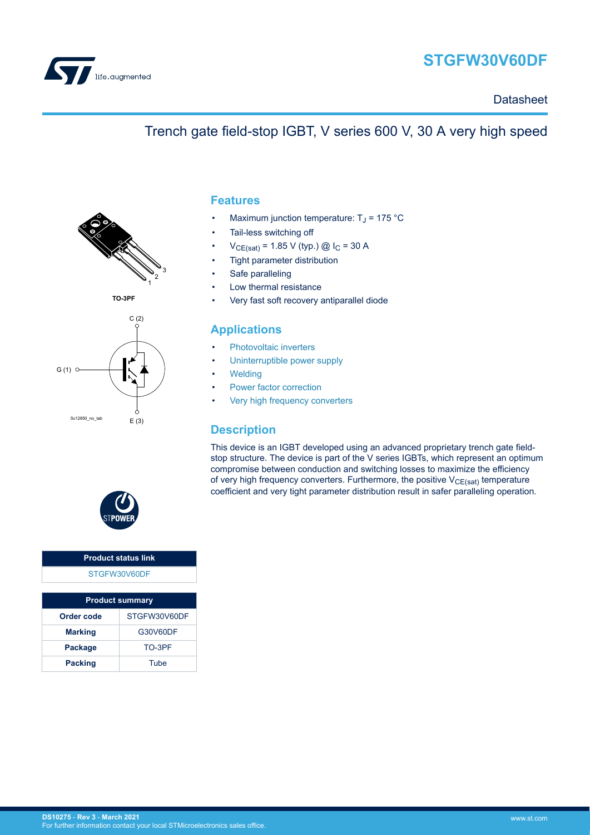

# **STGFW30V60DF**

**Datasheet** 

## Trench gate field-stop IGBT, V series 600 V, 30 A very high speed



**TO-3PF**



#### **Features**

- Maximum junction temperature:  $T_J$  = 175 °C
- Tail-less switching off
- $V_{CE(sat)} = 1.85 V$  (typ.) @  $I_C = 30 A$
- Tight parameter distribution
- Safe paralleling
- Low thermal resistance
- Very fast soft recovery antiparallel diode

#### **Applications**

- [Photovoltaic inverters](https://www.st.com/en/applications/energy-generation-and-distribution/solar-inverters-string-and-central.html?ecmp=tt9471_gl_link_feb2019&rt=ds&id=DS10275)
- [Uninterruptible power supply](https://www.st.com/en/applications/power-supplies-and-converters/uninterruptable-power-supplies-ups.html?ecmp=tt9471_gl_link_feb2019&rt=ds&id=DS10275)
- **[Welding](https://www.st.com/en/applications/industrial-power-and-tools/welding.html?ecmp=tt9471_gl_link_feb2019&rt=ds&id=DS10275)**
- [Power factor correction](https://www.st.com/en/applications/power-supplies-and-converters/pfc-converter-single-phase-input.html?ecmp=tt9471_gl_link_feb2019&rt=ds&id=DS10275)
- [Very high frequency converters](https://www.st.com/en/applications/power-supplies-and-converters/ac-dc-converters.html?ecmp=tt9471_gl_link_feb2019&rt=ds&id=DS10275)

#### **Description**

This device is an IGBT developed using an advanced proprietary trench gate fieldstop structure. The device is part of the V series IGBTs, which represent an optimum compromise between conduction and switching losses to maximize the efficiency of very high frequency converters. Furthermore, the positive  $V_{CE(sat)}$  temperature coefficient and very tight parameter distribution result in safer paralleling operation.



#### **Product status link** [STGFW30V60DF](http://www.st.com/en/product/STGFW30V60DF?ecmp=tt9470_gl_link_feb2019&rt=ds&id=DS10275)

| <b>Product summary</b> |              |  |  |  |
|------------------------|--------------|--|--|--|
| Order code             | STGFW30V60DF |  |  |  |
| <b>Marking</b>         | G30V60DF     |  |  |  |
| Package                | TO-3PF       |  |  |  |
| <b>Packing</b>         | Tube         |  |  |  |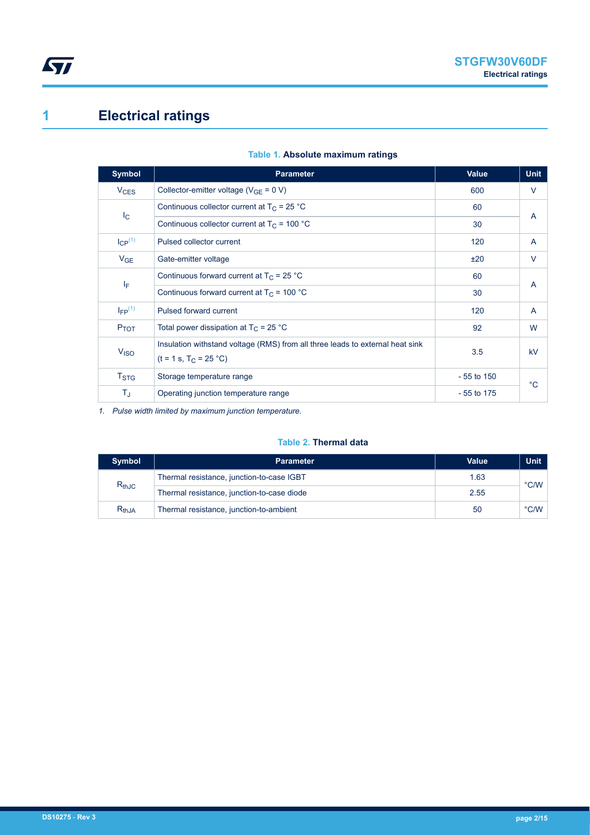# <span id="page-1-0"></span>**1 Electrical ratings**

| <b>Symbol</b>           | <b>Parameter</b>                                                                                          | <b>Value</b> | <b>Unit</b> |  |
|-------------------------|-----------------------------------------------------------------------------------------------------------|--------------|-------------|--|
| $V_{CES}$               | Collector-emitter voltage ( $V_{GF} = 0 V$ )                                                              | 600          | V           |  |
| $I_{\rm C}$             | Continuous collector current at $T_C = 25 °C$                                                             | 60           | A           |  |
|                         | Continuous collector current at $T_c$ = 100 °C                                                            | 30           |             |  |
| $I_{CP}^{(1)}$          | Pulsed collector current                                                                                  | 120          | A           |  |
| $V_{GE}$                | Gate-emitter voltage                                                                                      | ±20          | V           |  |
| ΙF                      | Continuous forward current at $T_C = 25 °C$                                                               | 60           | A           |  |
|                         | Continuous forward current at $T_C = 100 °C$                                                              | 30           |             |  |
| $I_{FP}$ <sup>(1)</sup> | Pulsed forward current                                                                                    | 120          | A           |  |
| $P_{TOT}$               | Total power dissipation at $T_C = 25 °C$                                                                  | 92           | W           |  |
| V <sub>ISO</sub>        | Insulation withstand voltage (RMS) from all three leads to external heat sink<br>$(t = 1 s, T_C = 25 °C)$ | 3.5          | kV          |  |
| $T_{\mathsf{STG}}$      | Storage temperature range                                                                                 | $-55$ to 150 | °C.         |  |
| T,                      | Operating junction temperature range                                                                      | $-55$ to 175 |             |  |

#### **Table 1. Absolute maximum ratings**

*1. Pulse width limited by maximum junction temperature.*

#### **Table 2. Thermal data**

| <b>Symbol</b> | <b>Parameter</b>                           | Value | <b>Unit</b>   |
|---------------|--------------------------------------------|-------|---------------|
| $R_{thJC}$    | Thermal resistance, junction-to-case IGBT  | 1.63  | $\degree$ C/W |
|               | Thermal resistance, junction-to-case diode | 2.55  |               |
| $R_{th,JA}$   | Thermal resistance, junction-to-ambient    | 50    | $\degree$ C/W |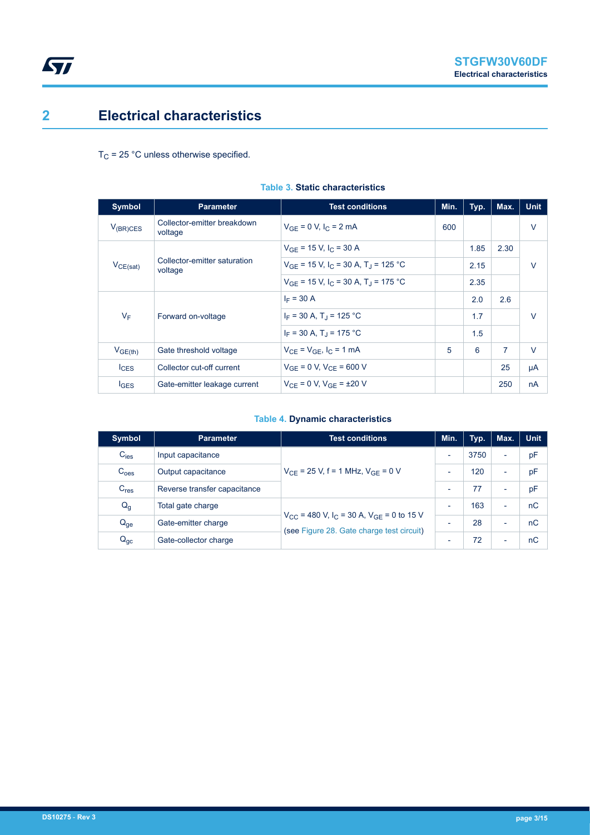## **2 Electrical characteristics**

<span id="page-2-0"></span>ST

 $T_C$  = 25 °C unless otherwise specified.

| Symbol           | <b>Parameter</b>                        | <b>Test conditions</b>                                          | Min. | Typ. | Max.           | <b>Unit</b> |
|------------------|-----------------------------------------|-----------------------------------------------------------------|------|------|----------------|-------------|
| $V_{(BR)CES}$    | Collector-emitter breakdown<br>voltage  | $V_{GE} = 0 V, I_C = 2 mA$                                      | 600  |      |                | $\vee$      |
|                  | Collector-emitter saturation<br>voltage | $V_{GF}$ = 15 V, I <sub>C</sub> = 30 A                          |      | 1.85 | 2.30           | $\vee$      |
| $V_{CE(sat)}$    |                                         | $V_{GF}$ = 15 V, I <sub>C</sub> = 30 A, T <sub>J</sub> = 125 °C |      | 2.15 |                |             |
|                  |                                         | $V_{GF}$ = 15 V, I <sub>C</sub> = 30 A, T <sub>J</sub> = 175 °C |      | 2.35 |                |             |
|                  | Forward on-voltage                      | $I_F = 30 A$                                                    |      | 2.0  | 2.6            | $\vee$      |
| $V_F$            |                                         | $I_F = 30 A$ , T <sub>1</sub> = 125 °C                          |      | 1.7  |                |             |
|                  |                                         | $I_F = 30 A$ , T <sub>1</sub> = 175 °C                          |      | 1.5  |                |             |
| $V_{GE(th)}$     | Gate threshold voltage                  | $V_{CF} = V_{GF}$ , $I_C = 1$ mA                                | 5    | 6    | $\overline{7}$ | $\vee$      |
| $I_{CES}$        | Collector cut-off current               | $V_{GE} = 0 V$ , $V_{CE} = 600 V$                               |      |      | 25             | μA          |
| $I_{\text{GES}}$ | Gate-emitter leakage current            | $V_{CF} = 0 V$ , $V_{GF} = \pm 20 V$                            |      |      | 250            | nA          |

#### **Table 3. Static characteristics**

#### **Table 4. Dynamic characteristics**

| <b>Symbol</b>    | <b>Parameter</b>             | <b>Test conditions</b>                                                                                            | Min.                     | Typ. | Max.                     | <b>Unit</b> |
|------------------|------------------------------|-------------------------------------------------------------------------------------------------------------------|--------------------------|------|--------------------------|-------------|
| $C_{\text{ies}}$ | Input capacitance            | $V_{CF}$ = 25 V, f = 1 MHz, $V_{GF}$ = 0 V                                                                        | $\overline{\phantom{0}}$ | 3750 | $\overline{\phantom{a}}$ | pF          |
| C <sub>oes</sub> | Output capacitance           |                                                                                                                   | $\overline{\phantom{0}}$ | 120  | $\overline{\phantom{a}}$ | pF          |
| C <sub>res</sub> | Reverse transfer capacitance |                                                                                                                   | $\overline{\phantom{0}}$ | 77   | $\overline{\phantom{0}}$ | pF          |
| $Q_g$            | Total gate charge            | $V_{CC}$ = 480 V, I <sub>C</sub> = 30 A, V <sub>GE</sub> = 0 to 15 V<br>(see Figure 28. Gate charge test circuit) | $\overline{\phantom{0}}$ | 163  | $\overline{\phantom{0}}$ | nC          |
| $Q_{ge}$         | Gate-emitter charge          |                                                                                                                   | -                        | 28   | $\overline{\phantom{0}}$ | nC          |
| $Q_{gc}$         | Gate-collector charge        |                                                                                                                   | $\overline{\phantom{0}}$ | 72   | $\overline{\phantom{0}}$ | nC          |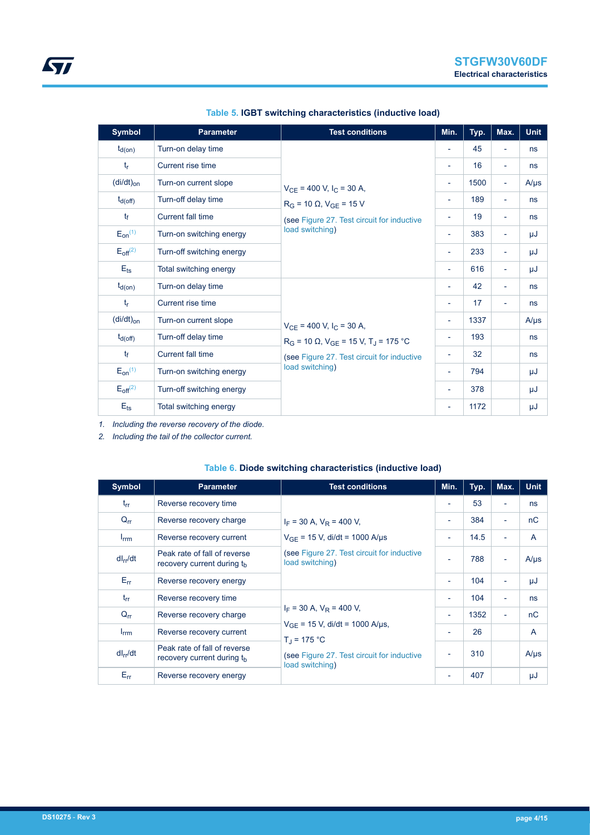| <b>Symbol</b>   | <b>Parameter</b>          | <b>Test conditions</b>                                                            | Min.                     | Typ. | Max.                     | <b>Unit</b> |
|-----------------|---------------------------|-----------------------------------------------------------------------------------|--------------------------|------|--------------------------|-------------|
| $t_{d(on)}$     | Turn-on delay time        |                                                                                   | $\overline{\phantom{a}}$ | 45   | $\overline{\phantom{a}}$ | ns          |
| $t_{r}$         | Current rise time         |                                                                                   | $\overline{\phantom{0}}$ | 16   | $\overline{\phantom{a}}$ | ns          |
| $(di/dt)_{on}$  | Turn-on current slope     | $V_{CE}$ = 400 V, I <sub>C</sub> = 30 A,<br>$R_G$ = 10 $\Omega$ , $V_{GE}$ = 15 V | $\overline{\phantom{a}}$ | 1500 | ÷,                       | $A/\mu s$   |
| $t_{d(off)}$    | Turn-off delay time       |                                                                                   | $\overline{\phantom{a}}$ | 189  | $\overline{\phantom{a}}$ | ns          |
| $t_{\rm f}$     | <b>Current fall time</b>  | (see Figure 27. Test circuit for inductive                                        | ۰                        | 19   | $\overline{\phantom{a}}$ | ns          |
| $E_{on}^{(1)}$  | Turn-on switching energy  | load switching)                                                                   | $\overline{\phantom{a}}$ | 383  | $\overline{\phantom{a}}$ | μJ          |
| $E_{off}^{(2)}$ | Turn-off switching energy |                                                                                   | $\overline{\phantom{a}}$ | 233  | $\overline{\phantom{a}}$ | μJ          |
| $E_{ts}$        | Total switching energy    |                                                                                   | $\overline{\phantom{a}}$ | 616  | $\overline{\phantom{a}}$ | μJ          |
| $t_{d(on)}$     | Turn-on delay time        |                                                                                   | $\overline{\phantom{0}}$ | 42   | $\overline{\phantom{0}}$ | ns          |
| $t_{\rm r}$     | Current rise time         |                                                                                   | $\overline{\phantom{a}}$ | 17   | $\overline{\phantom{a}}$ | ns          |
| $(di/dt)_{on}$  | Turn-on current slope     | $V_{CE}$ = 400 V, I <sub>C</sub> = 30 A,                                          | ۰                        | 1337 |                          | $A/\mu s$   |
| $t_{d(Off)}$    | Turn-off delay time       | $R_G$ = 10 $\Omega$ , $V_{GE}$ = 15 V, T <sub>J</sub> = 175 °C                    | ۰                        | 193  |                          | ns          |
| $t_{\rm f}$     | <b>Current fall time</b>  | (see Figure 27. Test circuit for inductive                                        | ۰                        | 32   |                          | ns          |
| $E_{on}^{(1)}$  | Turn-on switching energy  | load switching)                                                                   | $\overline{\phantom{a}}$ | 794  |                          | μJ          |
| $E_{off}^{(2)}$ | Turn-off switching energy |                                                                                   | $\overline{\phantom{a}}$ | 378  |                          | μJ          |
| $E_{ts}$        | Total switching energy    |                                                                                   | $\overline{\phantom{0}}$ | 1172 |                          | μJ          |

#### **Table 5. IGBT switching characteristics (inductive load)**

*1. Including the reverse recovery of the diode.*

*2. Including the tail of the collector current.*

| Symbol           | <b>Parameter</b>                                                       | <b>Test conditions</b>                                                                                                                                       | Min.                     | Typ. | Max.                     | <b>Unit</b>  |
|------------------|------------------------------------------------------------------------|--------------------------------------------------------------------------------------------------------------------------------------------------------------|--------------------------|------|--------------------------|--------------|
| $t_{rr}$         | Reverse recovery time                                                  | $I_F$ = 30 A, $V_R$ = 400 V,                                                                                                                                 | $\overline{\phantom{a}}$ | 53   | $\overline{\phantom{a}}$ | ns           |
| $Q_{rr}$         | Reverse recovery charge                                                |                                                                                                                                                              | $\overline{\phantom{a}}$ | 384  | $\blacksquare$           | nC           |
| $I_{\text{rrm}}$ | Reverse recovery current                                               | $V_{GF}$ = 15 V, di/dt = 1000 A/us                                                                                                                           | ٠                        | 14.5 | $\blacksquare$           | $\mathsf{A}$ |
| $dl_{rr}/dt$     | Peak rate of fall of reverse<br>recovery current during the            | (see Figure 27. Test circuit for inductive<br>load switching)                                                                                                | $\blacksquare$           | 788  | $\overline{\phantom{a}}$ | $A/\mu s$    |
| $E_{rr}$         | Reverse recovery energy                                                |                                                                                                                                                              | ٠                        | 104  | $\blacksquare$           | μJ           |
| $t_{rr}$         | Reverse recovery time                                                  | $I_F$ = 30 A, $V_R$ = 400 V,<br>$V_{GF}$ = 15 V, di/dt = 1000 A/µs,<br>$T_{\rm d}$ = 175 °C<br>(see Figure 27. Test circuit for inductive<br>load switching) | $\overline{\phantom{a}}$ | 104  | $\blacksquare$           | ns           |
| $Q_{rr}$         | Reverse recovery charge                                                |                                                                                                                                                              | ٠                        | 1352 | $\blacksquare$           | nC           |
| $I_{\text{rrm}}$ | Reverse recovery current                                               |                                                                                                                                                              | $\overline{\phantom{0}}$ | 26   |                          | A            |
| $dl_{rr}/dt$     | Peak rate of fall of reverse<br>recovery current during t <sub>h</sub> |                                                                                                                                                              |                          | 310  |                          | $A/\mu s$    |
| $E_{rr}$         | Reverse recovery energy                                                |                                                                                                                                                              | $\overline{\phantom{a}}$ | 407  |                          | μJ           |

#### **Table 6. Diode switching characteristics (inductive load)**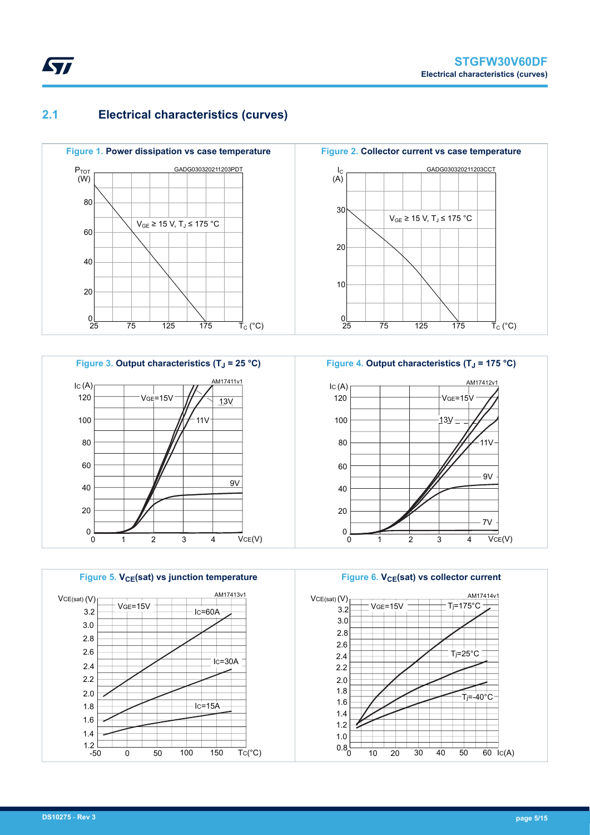## **2.1 Electrical characteristics (curves)**













<span id="page-4-0"></span>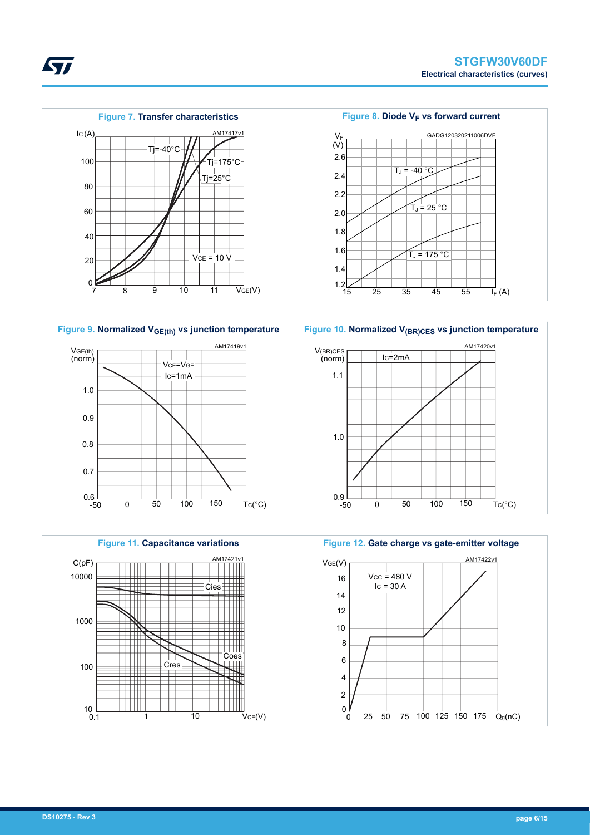<span id="page-5-0"></span>







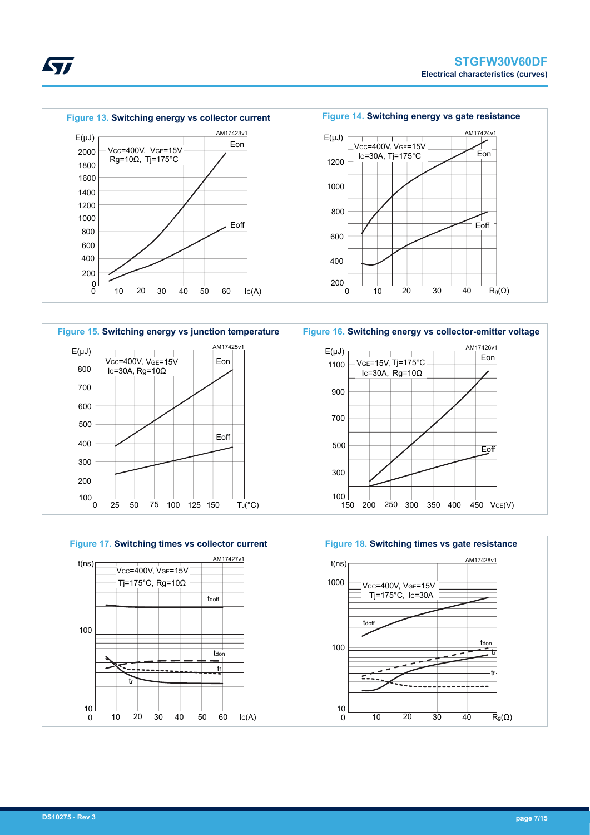







 $\overline{40}$ 

---------------

tf

**S77**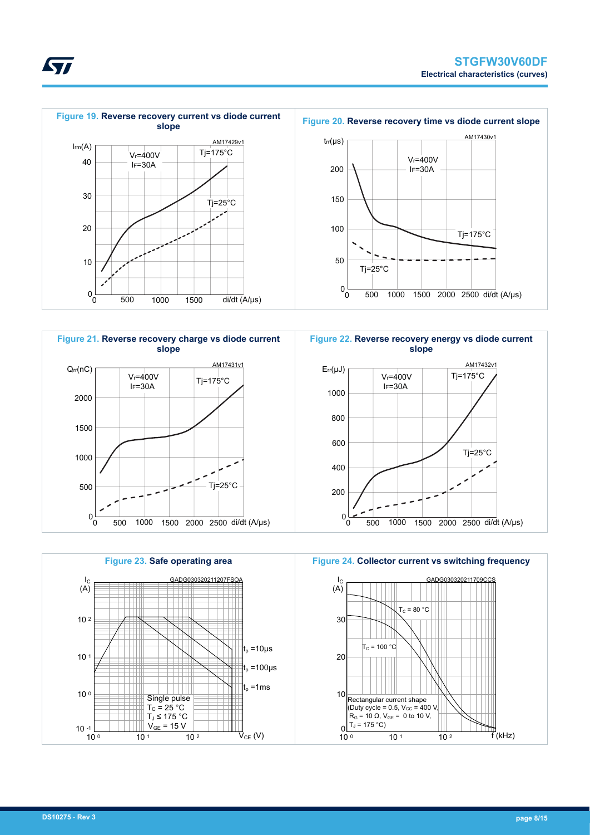





**Figure 24. Collector current vs switching frequency**



<span id="page-7-0"></span>ST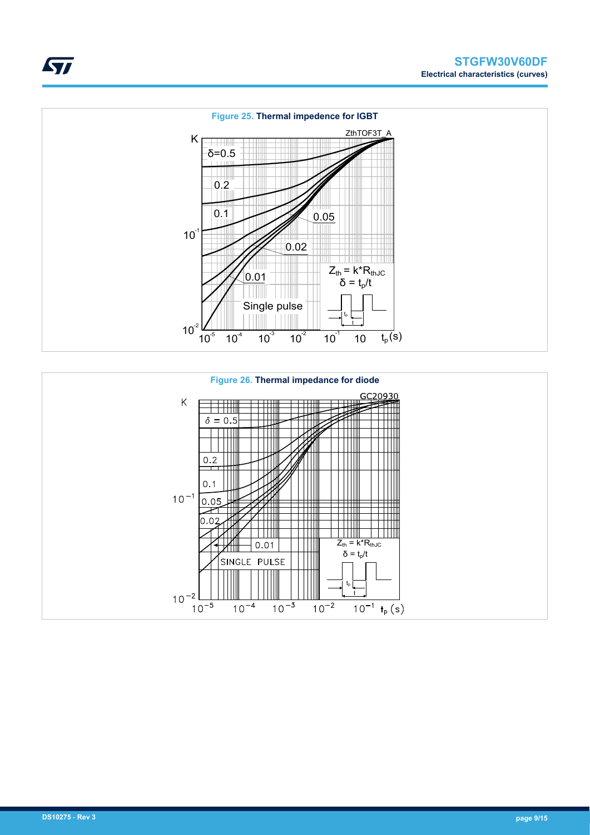





ST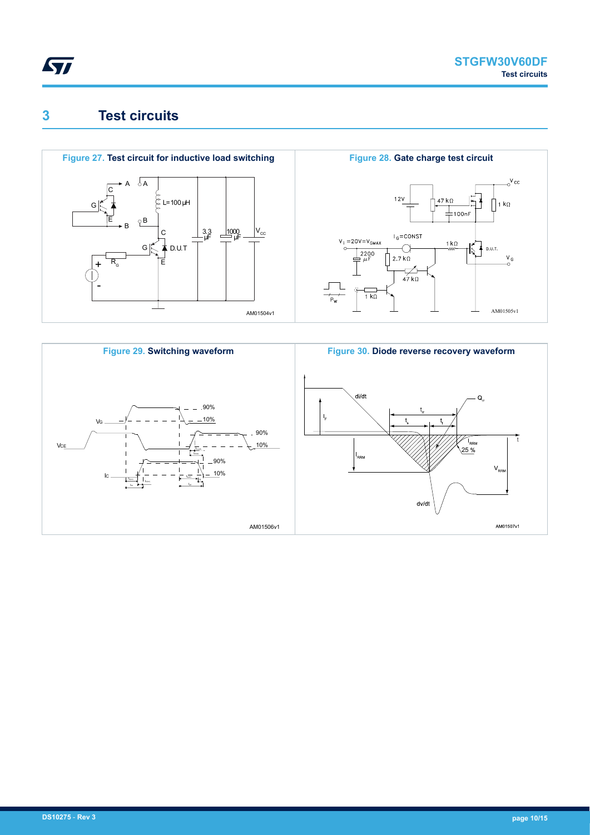<span id="page-9-0"></span>

## **3 Test circuits**





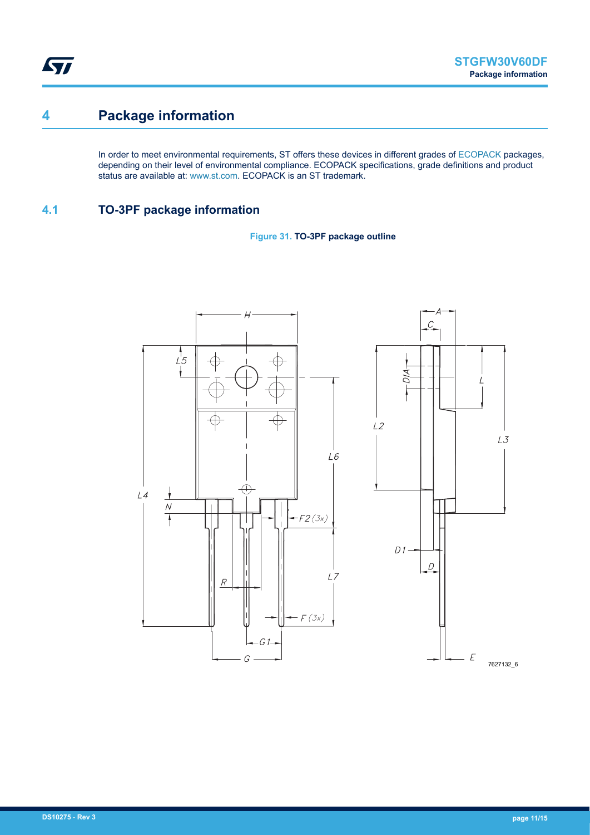<span id="page-10-0"></span>ST

## **4 Package information**

In order to meet environmental requirements, ST offers these devices in different grades of [ECOPACK](https://www.st.com/ecopack) packages, depending on their level of environmental compliance. ECOPACK specifications, grade definitions and product status are available at: [www.st.com.](http://www.st.com) ECOPACK is an ST trademark.

### **4.1 TO-3PF package information**



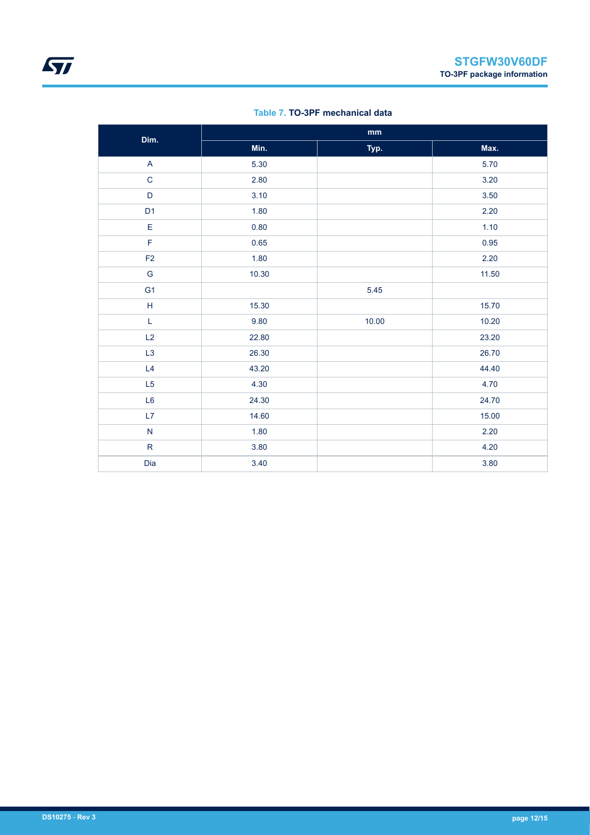| Dim.           |       | $\mathop{\text{mm}}\nolimits$ |       |
|----------------|-------|-------------------------------|-------|
|                | Min.  | Typ.                          | Max.  |
| $\mathsf{A}$   | 5.30  |                               | 5.70  |
| $\mathsf{C}$   | 2.80  |                               | 3.20  |
| $\mathsf D$    | 3.10  |                               | 3.50  |
| D <sub>1</sub> | 1.80  |                               | 2.20  |
| $\mathsf E$    | 0.80  |                               | 1.10  |
| F              | 0.65  |                               | 0.95  |
| F <sub>2</sub> | 1.80  |                               | 2.20  |
| ${\mathsf G}$  | 10.30 |                               | 11.50 |
| G <sub>1</sub> |       | 5.45                          |       |
| $\sf H$        | 15.30 |                               | 15.70 |
| L              | 9.80  | 10.00                         | 10.20 |
| L2             | 22.80 |                               | 23.20 |
| L <sub>3</sub> | 26.30 |                               | 26.70 |
| L4             | 43.20 |                               | 44.40 |
| L5             | 4.30  |                               | 4.70  |
| L6             | 24.30 |                               | 24.70 |
| L7             | 14.60 |                               | 15.00 |
| ${\sf N}$      | 1.80  |                               | 2.20  |
| ${\sf R}$      | 3.80  |                               | 4.20  |
| Dia            | 3.40  |                               | 3.80  |

#### **Table 7. TO-3PF mechanical data**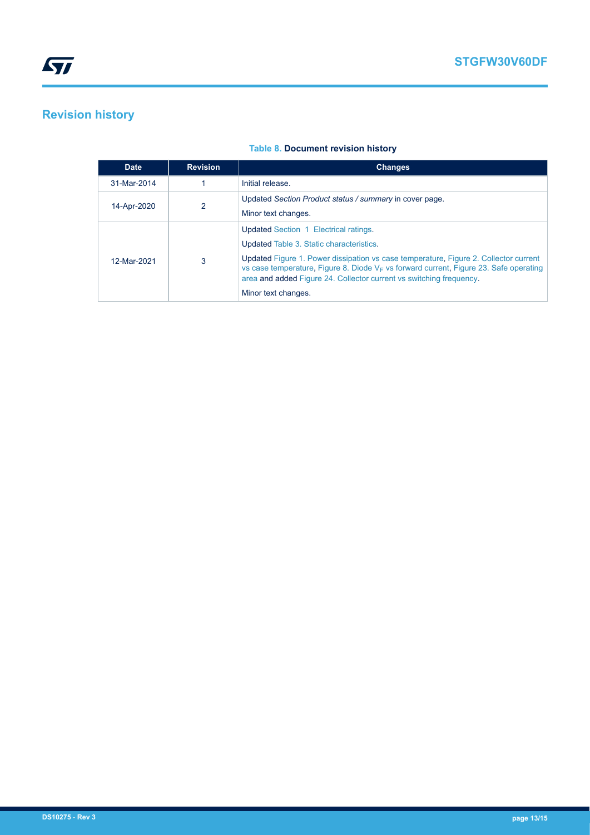# <span id="page-12-0"></span>**Revision history**

| <b>Date</b> | <b>Revision</b> | <b>Changes</b>                                                                                                                                                                                                                                                                                                                                                      |
|-------------|-----------------|---------------------------------------------------------------------------------------------------------------------------------------------------------------------------------------------------------------------------------------------------------------------------------------------------------------------------------------------------------------------|
| 31-Mar-2014 |                 | Initial release.                                                                                                                                                                                                                                                                                                                                                    |
| 14-Apr-2020 | $\overline{2}$  | Updated Section Product status / summary in cover page.<br>Minor text changes.                                                                                                                                                                                                                                                                                      |
| 12-Mar-2021 | 3               | Updated Section 1 Electrical ratings.<br>Updated Table 3. Static characteristics.<br>Updated Figure 1. Power dissipation vs case temperature, Figure 2. Collector current<br>vs case temperature, Figure 8. Diode $V_F$ vs forward current, Figure 23. Safe operating<br>area and added Figure 24. Collector current vs switching frequency.<br>Minor text changes. |

#### **Table 8. Document revision history**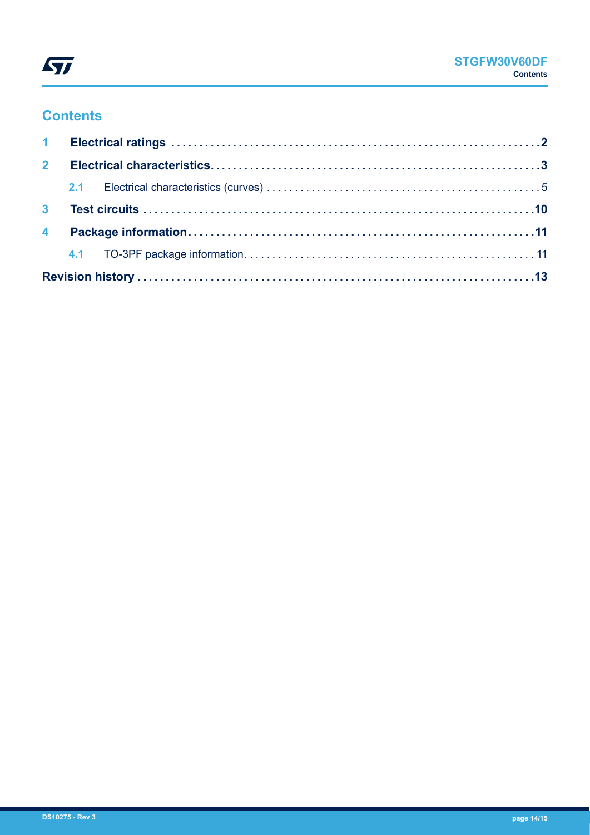

## **Contents**

| $2^{\circ}$ |  |  |  |  |  |  |
|-------------|--|--|--|--|--|--|
|             |  |  |  |  |  |  |
|             |  |  |  |  |  |  |
|             |  |  |  |  |  |  |
|             |  |  |  |  |  |  |
|             |  |  |  |  |  |  |